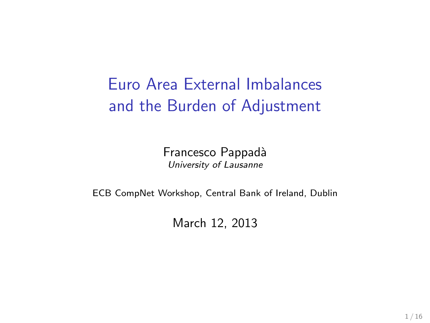Euro Area External Imbalances and the Burden of Adjustment

> Francesco Pappadà University of Lausanne

ECB CompNet Workshop, Central Bank of Ireland, Dublin

March 12, 2013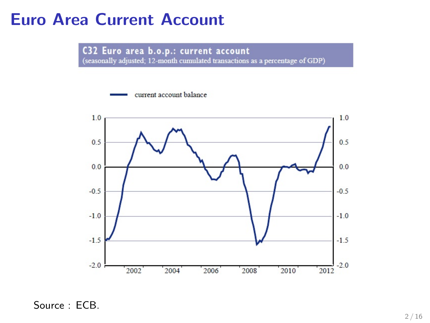#### Euro Area Current Account

C32 Euro area b.o.p.: current account<br>(seasonally adjusted; 12-month cumulated transactions as a percentage of GDP)

current account balance



Source : ECB.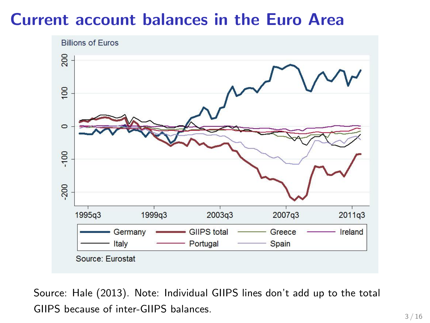## Current account balances in the Euro Area



Source: Hale (2013). Note: Individual GIIPS lines don't add up to the total GIIPS because of inter-GIIPS balances.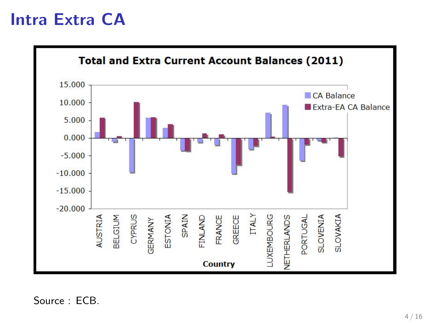#### Intra Extra CA

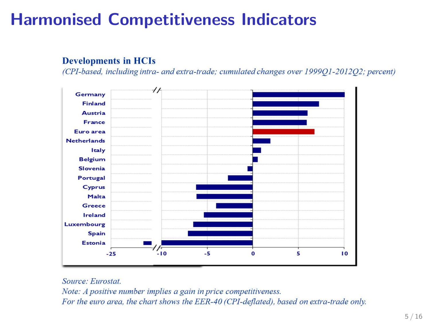# Harmonised Competitiveness Indicators

#### **Developments in HCIs**

(CPI-based, including intra- and extra-trade; cumulated changes over 199901-201202; percent)



#### Source: Eurostat

Note: A positive number implies a gain in price competitiveness. For the euro area, the chart shows the EER-40 (CPI-deflated), based on extra-trade only.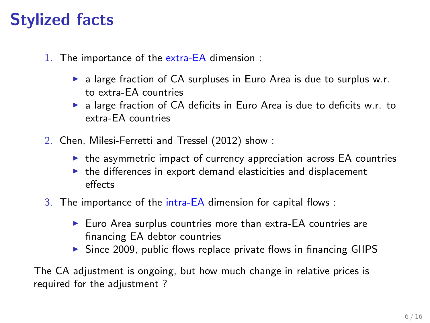# Stylized facts

- 1. The importance of the extra-EA dimension :
	- $\triangleright$  a large fraction of CA surpluses in Euro Area is due to surplus w.r. to extra-EA countries
	- $\triangleright$  a large fraction of CA deficits in Euro Area is due to deficits w.r. to extra-EA countries
- 2. Chen, Milesi-Ferretti and Tressel (2012) show :
	- $\triangleright$  the asymmetric impact of currency appreciation across EA countries
	- $\triangleright$  the differences in export demand elasticities and displacement effects
- 3. The importance of the intra-EA dimension for capital flows :
	- $\blacktriangleright$  Euro Area surplus countries more than extra-EA countries are financing EA debtor countries
	- $\triangleright$  Since 2009, public flows replace private flows in financing GIIPS

The CA adjustment is ongoing, but how much change in relative prices is required for the adjustment ?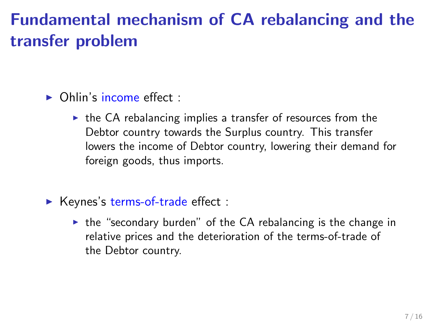# Fundamental mechanism of CA rebalancing and the transfer problem

- $\triangleright$  Ohlin's income effect :
	- $\triangleright$  the CA rebalancing implies a transfer of resources from the Debtor country towards the Surplus country. This transfer lowers the income of Debtor country, lowering their demand for foreign goods, thus imports.
- $\blacktriangleright$  Keynes's terms-of-trade effect :
	- $\triangleright$  the "secondary burden" of the CA rebalancing is the change in relative prices and the deterioration of the terms-of-trade of the Debtor country.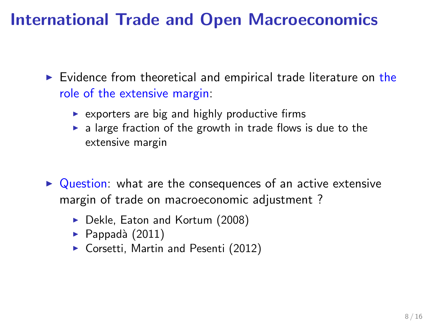# International Trade and Open Macroeconomics

 $\triangleright$  Evidence from theoretical and empirical trade literature on the role of the extensive margin:

- $\triangleright$  exporters are big and highly productive firms
- $\triangleright$  a large fraction of the growth in trade flows is due to the extensive margin
- $\triangleright$  Question: what are the consequences of an active extensive margin of trade on macroeconomic adjustment ?
	- ▶ Dekle, Eaton and Kortum (2008)
	- $\blacktriangleright$  Pappadà (2011)
	- ▶ Corsetti, Martin and Pesenti (2012)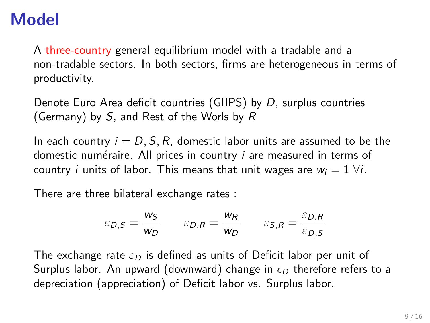## Model

A three-country general equilibrium model with a tradable and a non-tradable sectors. In both sectors, firms are heterogeneous in terms of productivity.

Denote Euro Area deficit countries (GIIPS) by D, surplus countries (Germany) by S, and Rest of the Worls by R

In each country  $i = D, S, R$ , domestic labor units are assumed to be the domestic numéraire. All prices in country  $i$  are measured in terms of country *i* units of labor. This means that unit wages are  $w_i = 1 \forall i$ .

There are three bilateral exchange rates :

$$
\varepsilon_{D,S} = \frac{w_S}{w_D} \qquad \varepsilon_{D,R} = \frac{w_R}{w_D} \qquad \varepsilon_{S,R} = \frac{\varepsilon_{D,R}}{\varepsilon_{D,S}}
$$

The exchange rate  $\varepsilon_D$  is defined as units of Deficit labor per unit of Surplus labor. An upward (downward) change in  $\epsilon_D$  therefore refers to a depreciation (appreciation) of Deficit labor vs. Surplus labor.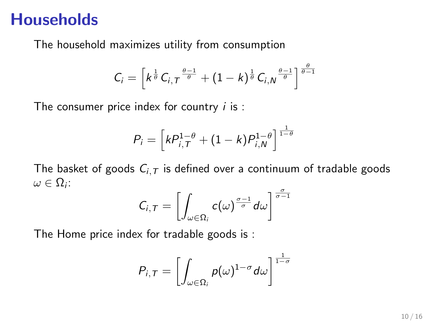#### **Households**

The household maximizes utility from consumption

$$
C_i = \left[k^{\frac{1}{\theta}}C_{i,T}^{\frac{\theta-1}{\theta}} + (1-k)^{\frac{1}{\theta}}C_{i,N}^{\frac{\theta-1}{\theta}}\right]^{\frac{\theta}{\theta-1}}
$$

The consumer price index for country  $i$  is :

$$
P_i = \left[kP_{i,T}^{1-\theta} + (1-k)P_{i,N}^{1-\theta}\right]^{\frac{1}{1-\theta}}
$$

The basket of goods  $C_{i,T}$  is defined over a continuum of tradable goods  $\omega \in \Omega_i$ :

$$
C_{i,T}=\left[\int_{\omega\in\Omega_i}c(\omega)^{\frac{\sigma-1}{\sigma}}d\omega\right]^{\frac{\sigma}{\sigma-1}}
$$

The Home price index for tradable goods is :

$$
P_{i,T}=\left[\int_{\omega\in\Omega_i}\rho(\omega)^{1-\sigma}d\omega\right]^{\frac{1}{1-\sigma}}
$$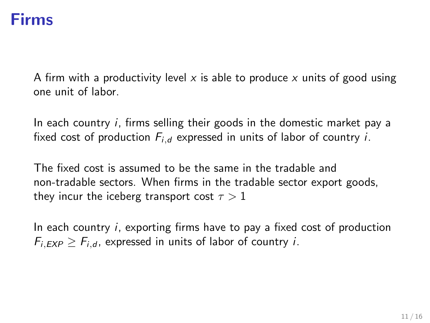#### Firms

A firm with a productivity level x is able to produce x units of good using one unit of labor.

In each country *i*, firms selling their goods in the domestic market pay a fixed cost of production  $F_{i,d}$  expressed in units of labor of country *i*.

The fixed cost is assumed to be the same in the tradable and non-tradable sectors. When firms in the tradable sector export goods, they incur the iceberg transport cost  $\tau > 1$ 

In each country i, exporting firms have to pay a fixed cost of production  $F_{i,EXP} \geq F_{i,d}$ , expressed in units of labor of country *i*.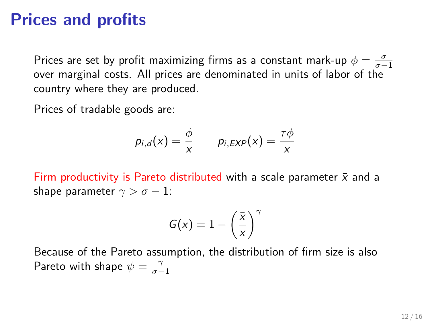#### Prices and profits

Prices are set by profit maximizing firms as a constant mark-up  $\phi = \frac{\sigma}{\sigma - 1}$ over marginal costs. All prices are denominated in units of labor of the country where they are produced.

Prices of tradable goods are:

$$
p_{i,d}(x) = \frac{\phi}{x} \qquad p_{i,EXP}(x) = \frac{\tau\phi}{x}
$$

Firm productivity is Pareto distributed with a scale parameter  $\bar{x}$  and a shape parameter  $\gamma > \sigma - 1$ :

$$
G(x) = 1 - \left(\frac{\bar{x}}{x}\right)^{\gamma}
$$

Because of the Pareto assumption, the distribution of firm size is also Pareto with shape  $\psi = \frac{\gamma}{\sigma - 1}$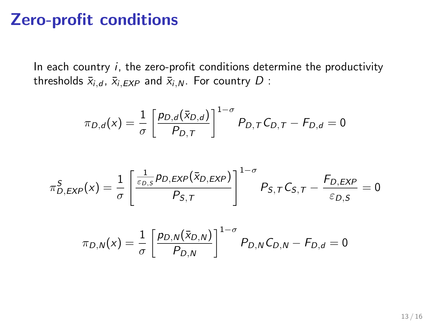#### Zero-profit conditions

In each country  $i$ , the zero-profit conditions determine the productivity thresholds  $\bar{x}_{i,d}$ ,  $\bar{x}_{i,EXP}$  and  $\bar{x}_{i,N}$ . For country D :

$$
\pi_{D,d}(x) = \frac{1}{\sigma} \left[ \frac{p_{D,d}(\bar{x}_{D,d})}{P_{D,T}} \right]^{1-\sigma} P_{D,T} C_{D,T} - F_{D,d} = 0
$$

$$
\pi_{D,EXP}^S(x) = \frac{1}{\sigma} \left[ \frac{\frac{1}{\varepsilon_{D,S}} p_{D,EXP}(\bar{x}_{D,EXP})}{P_{S,T}} \right]^{1-\sigma} P_{S,T} C_{S,T} - \frac{F_{D,EXP}}{\varepsilon_{D,S}} = 0
$$

$$
\pi_{D,N}(x) = \frac{1}{\sigma} \left[ \frac{p_{D,N}(\bar{x}_{D,N})}{P_{D,N}} \right]^{1-\sigma} P_{D,N} C_{D,N} - F_{D,d} = 0
$$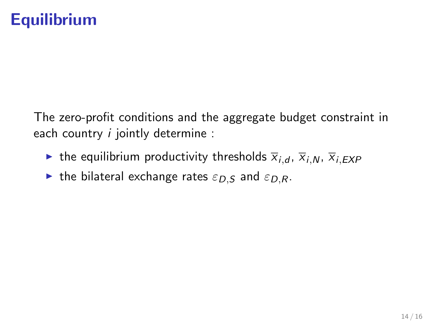# **Equilibrium**

The zero-profit conditions and the aggregate budget constraint in each country *i* jointly determine :

- ighthrow the equilibrium productivity thresholds  $\overline{x}_{i,d}$ ,  $\overline{x}_{i,N}$ ,  $\overline{x}_{i,EXP}$
- In the bilateral exchange rates  $\varepsilon_{D,S}$  and  $\varepsilon_{D,R}$ .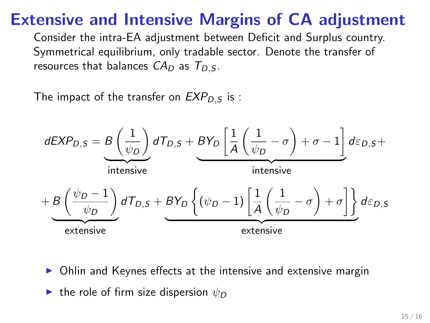## Extensive and Intensive Margins of CA adjustment

Consider the intra-EA adjustment between Deficit and Surplus country. Symmetrical equilibrium, only tradable sector. Denote the transfer of resources that balances  $CA_D$  as  $T_{D,S}$ .

The impact of the transfer on  $EXP_{DS}$  is :



- Ohlin and Keynes effects at the intensive and extensive margin
- In the role of firm size dispersion  $\psi_D$